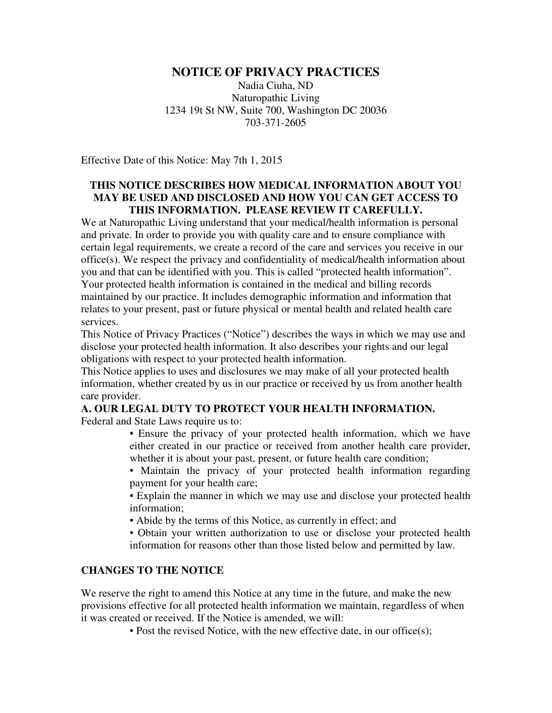# **NOTICE OF PRIVACY PRACTICES**

Nadia Ciuha, ND Naturopathic Living 1234 19t St NW, Suite 700, Washington DC 20036 703-371-2605

Effective Date of this Notice: May 7th 1, 2015

## **THIS NOTICE DESCRIBES HOW MEDICAL INFORMATION ABOUT YOU MAY BE USED AND DISCLOSED AND HOW YOU CAN GET ACCESS TO THIS INFORMATION. PLEASE REVIEW IT CAREFULLY.**

We at Naturopathic Living understand that your medical/health information is personal and private. In order to provide you with quality care and to ensure compliance with certain legal requirements, we create a record of the care and services you receive in our office(s). We respect the privacy and confidentiality of medical/health information about you and that can be identified with you. This is called "protected health information". Your protected health information is contained in the medical and billing records maintained by our practice. It includes demographic information and information that relates to your present, past or future physical or mental health and related health care services.

This Notice of Privacy Practices ("Notice") describes the ways in which we may use and disclose your protected health information. It also describes your rights and our legal obligations with respect to your protected health information.

This Notice applies to uses and disclosures we may make of all your protected health information, whether created by us in our practice or received by us from another health care provider.

# **A. OUR LEGAL DUTY TO PROTECT YOUR HEALTH INFORMATION.**

Federal and State Laws require us to:

• Ensure the privacy of your protected health information, which we have either created in our practice or received from another health care provider, whether it is about your past, present, or future health care condition;

• Maintain the privacy of your protected health information regarding payment for your health care;

• Explain the manner in which we may use and disclose your protected health information;

• Abide by the terms of this Notice, as currently in effect; and

• Obtain your written authorization to use or disclose your protected health information for reasons other than those listed below and permitted by law.

# **CHANGES TO THE NOTICE**

We reserve the right to amend this Notice at any time in the future, and make the new provisions effective for all protected health information we maintain, regardless of when it was created or received. If the Notice is amended, we will:

• Post the revised Notice, with the new effective date, in our office(s);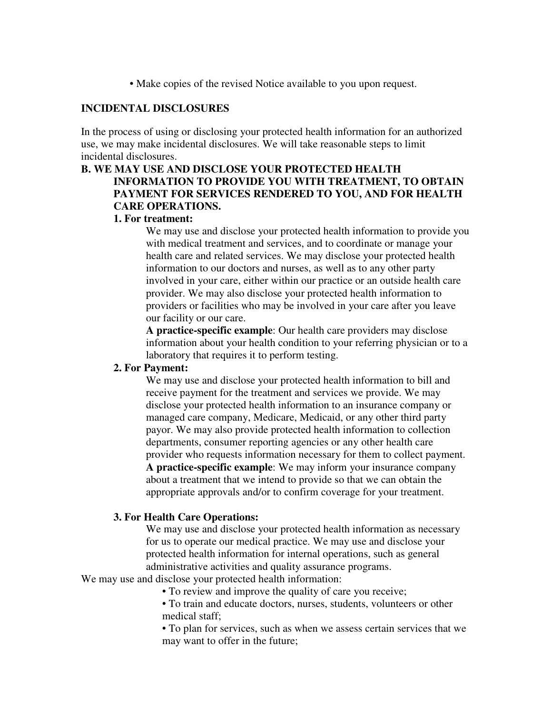• Make copies of the revised Notice available to you upon request.

#### **INCIDENTAL DISCLOSURES**

In the process of using or disclosing your protected health information for an authorized use, we may make incidental disclosures. We will take reasonable steps to limit incidental disclosures.

# **B. WE MAY USE AND DISCLOSE YOUR PROTECTED HEALTH INFORMATION TO PROVIDE YOU WITH TREATMENT, TO OBTAIN PAYMENT FOR SERVICES RENDERED TO YOU, AND FOR HEALTH CARE OPERATIONS.**

# **1. For treatment:**

We may use and disclose your protected health information to provide you with medical treatment and services, and to coordinate or manage your health care and related services. We may disclose your protected health information to our doctors and nurses, as well as to any other party involved in your care, either within our practice or an outside health care provider. We may also disclose your protected health information to providers or facilities who may be involved in your care after you leave our facility or our care.

**A practice-specific example**: Our health care providers may disclose information about your health condition to your referring physician or to a laboratory that requires it to perform testing.

## **2. For Payment:**

We may use and disclose your protected health information to bill and receive payment for the treatment and services we provide. We may disclose your protected health information to an insurance company or managed care company, Medicare, Medicaid, or any other third party payor. We may also provide protected health information to collection departments, consumer reporting agencies or any other health care provider who requests information necessary for them to collect payment. **A practice-specific example**: We may inform your insurance company about a treatment that we intend to provide so that we can obtain the appropriate approvals and/or to confirm coverage for your treatment.

#### **3. For Health Care Operations:**

We may use and disclose your protected health information as necessary for us to operate our medical practice. We may use and disclose your protected health information for internal operations, such as general administrative activities and quality assurance programs.

We may use and disclose your protected health information:

• To review and improve the quality of care you receive;

• To train and educate doctors, nurses, students, volunteers or other medical staff;

• To plan for services, such as when we assess certain services that we may want to offer in the future;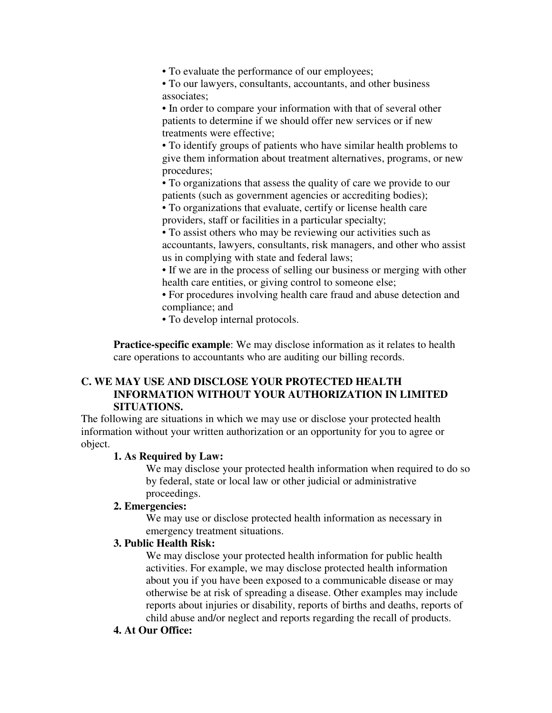• To evaluate the performance of our employees;

• To our lawyers, consultants, accountants, and other business associates;

• In order to compare your information with that of several other patients to determine if we should offer new services or if new treatments were effective;

• To identify groups of patients who have similar health problems to give them information about treatment alternatives, programs, or new procedures;

• To organizations that assess the quality of care we provide to our patients (such as government agencies or accrediting bodies); • To organizations that evaluate, certify or license health care providers, staff or facilities in a particular specialty;

• To assist others who may be reviewing our activities such as accountants, lawyers, consultants, risk managers, and other who assist us in complying with state and federal laws;

• If we are in the process of selling our business or merging with other health care entities, or giving control to someone else;

• For procedures involving health care fraud and abuse detection and compliance; and

• To develop internal protocols.

**Practice-specific example**: We may disclose information as it relates to health care operations to accountants who are auditing our billing records.

# **C. WE MAY USE AND DISCLOSE YOUR PROTECTED HEALTH INFORMATION WITHOUT YOUR AUTHORIZATION IN LIMITED SITUATIONS.**

The following are situations in which we may use or disclose your protected health information without your written authorization or an opportunity for you to agree or object.

#### **1. As Required by Law:**

We may disclose your protected health information when required to do so by federal, state or local law or other judicial or administrative proceedings.

# **2. Emergencies:**

We may use or disclose protected health information as necessary in emergency treatment situations.

### **3. Public Health Risk:**

We may disclose your protected health information for public health activities. For example, we may disclose protected health information about you if you have been exposed to a communicable disease or may otherwise be at risk of spreading a disease. Other examples may include reports about injuries or disability, reports of births and deaths, reports of child abuse and/or neglect and reports regarding the recall of products.

#### **4. At Our Office:**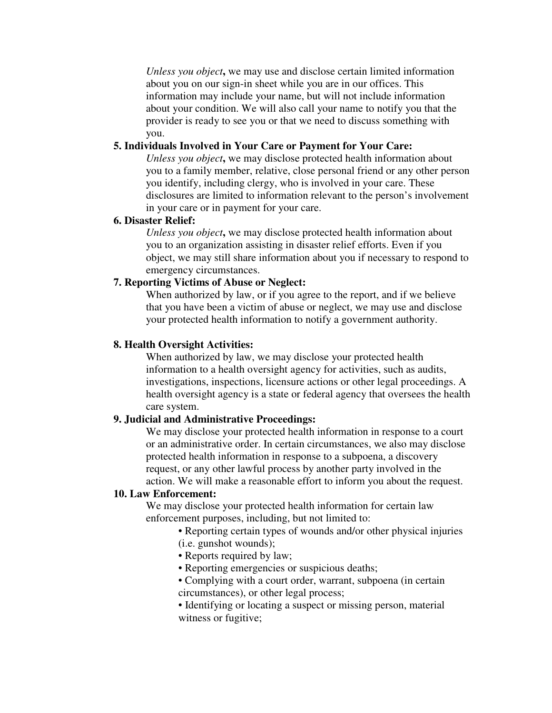*Unless you object***,** we may use and disclose certain limited information about you on our sign-in sheet while you are in our offices. This information may include your name, but will not include information about your condition. We will also call your name to notify you that the provider is ready to see you or that we need to discuss something with you.

## **5. Individuals Involved in Your Care or Payment for Your Care:**

*Unless you object***,** we may disclose protected health information about you to a family member, relative, close personal friend or any other person you identify, including clergy, who is involved in your care. These disclosures are limited to information relevant to the person's involvement in your care or in payment for your care.

# **6. Disaster Relief:**

*Unless you object***,** we may disclose protected health information about you to an organization assisting in disaster relief efforts. Even if you object, we may still share information about you if necessary to respond to emergency circumstances.

# **7. Reporting Victims of Abuse or Neglect:**

When authorized by law, or if you agree to the report, and if we believe that you have been a victim of abuse or neglect, we may use and disclose your protected health information to notify a government authority.

# **8. Health Oversight Activities:**

When authorized by law, we may disclose your protected health information to a health oversight agency for activities, such as audits, investigations, inspections, licensure actions or other legal proceedings. A health oversight agency is a state or federal agency that oversees the health care system.

#### **9. Judicial and Administrative Proceedings:**

We may disclose your protected health information in response to a court or an administrative order. In certain circumstances, we also may disclose protected health information in response to a subpoena, a discovery request, or any other lawful process by another party involved in the action. We will make a reasonable effort to inform you about the request.

#### **10. Law Enforcement:**

We may disclose your protected health information for certain law enforcement purposes, including, but not limited to:

> • Reporting certain types of wounds and/or other physical injuries (i.e. gunshot wounds);

- Reports required by law;
- Reporting emergencies or suspicious deaths;
- Complying with a court order, warrant, subpoena (in certain circumstances), or other legal process;
- Identifying or locating a suspect or missing person, material witness or fugitive;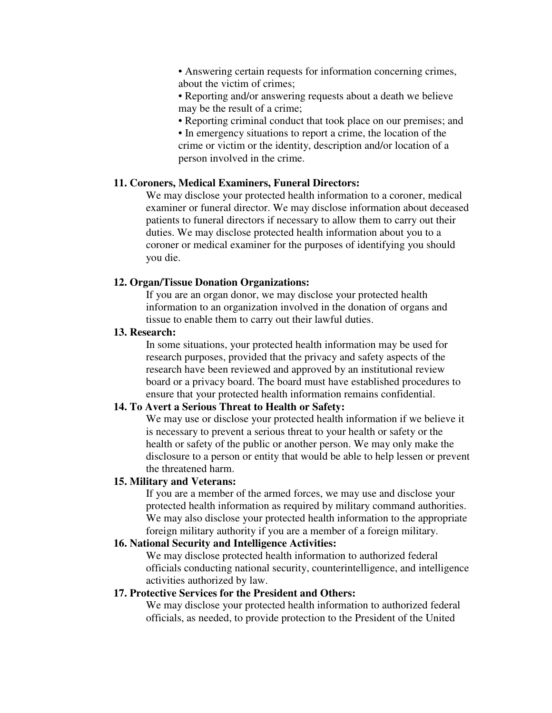• Answering certain requests for information concerning crimes, about the victim of crimes;

• Reporting and/or answering requests about a death we believe may be the result of a crime;

• Reporting criminal conduct that took place on our premises; and

• In emergency situations to report a crime, the location of the crime or victim or the identity, description and/or location of a person involved in the crime.

### **11. Coroners, Medical Examiners, Funeral Directors:**

We may disclose your protected health information to a coroner, medical examiner or funeral director. We may disclose information about deceased patients to funeral directors if necessary to allow them to carry out their duties. We may disclose protected health information about you to a coroner or medical examiner for the purposes of identifying you should you die.

#### **12. Organ/Tissue Donation Organizations:**

If you are an organ donor, we may disclose your protected health information to an organization involved in the donation of organs and tissue to enable them to carry out their lawful duties.

# **13. Research:**

In some situations, your protected health information may be used for research purposes, provided that the privacy and safety aspects of the research have been reviewed and approved by an institutional review board or a privacy board. The board must have established procedures to ensure that your protected health information remains confidential.

### **14. To Avert a Serious Threat to Health or Safety:**

We may use or disclose your protected health information if we believe it is necessary to prevent a serious threat to your health or safety or the health or safety of the public or another person. We may only make the disclosure to a person or entity that would be able to help lessen or prevent the threatened harm.

# **15. Military and Veterans:**

If you are a member of the armed forces, we may use and disclose your protected health information as required by military command authorities. We may also disclose your protected health information to the appropriate foreign military authority if you are a member of a foreign military.

### **16. National Security and Intelligence Activities:**

We may disclose protected health information to authorized federal officials conducting national security, counterintelligence, and intelligence activities authorized by law.

#### **17. Protective Services for the President and Others:**

We may disclose your protected health information to authorized federal officials, as needed, to provide protection to the President of the United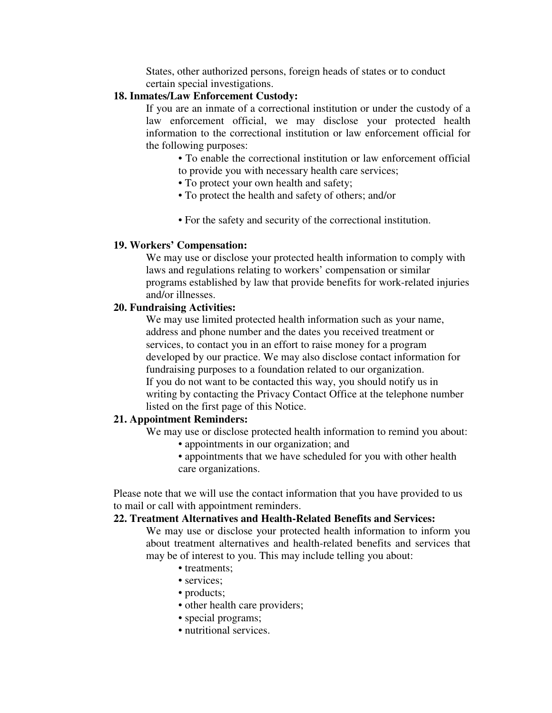States, other authorized persons, foreign heads of states or to conduct certain special investigations.

# **18. Inmates/Law Enforcement Custody:**

If you are an inmate of a correctional institution or under the custody of a law enforcement official, we may disclose your protected health information to the correctional institution or law enforcement official for the following purposes:

- To enable the correctional institution or law enforcement official to provide you with necessary health care services;
- To protect your own health and safety;
- To protect the health and safety of others; and/or
- For the safety and security of the correctional institution.

### **19. Workers' Compensation:**

We may use or disclose your protected health information to comply with laws and regulations relating to workers' compensation or similar programs established by law that provide benefits for work-related injuries and/or illnesses.

# **20. Fundraising Activities:**

We may use limited protected health information such as your name, address and phone number and the dates you received treatment or services, to contact you in an effort to raise money for a program developed by our practice. We may also disclose contact information for fundraising purposes to a foundation related to our organization. If you do not want to be contacted this way, you should notify us in writing by contacting the Privacy Contact Office at the telephone number listed on the first page of this Notice.

# **21. Appointment Reminders:**

We may use or disclose protected health information to remind you about:

- appointments in our organization; and
- appointments that we have scheduled for you with other health care organizations.

Please note that we will use the contact information that you have provided to us to mail or call with appointment reminders.

# **22. Treatment Alternatives and Health-Related Benefits and Services:**

We may use or disclose your protected health information to inform you about treatment alternatives and health-related benefits and services that may be of interest to you. This may include telling you about:

- treatments:
- services:
- products;
- other health care providers;
- special programs;
- nutritional services.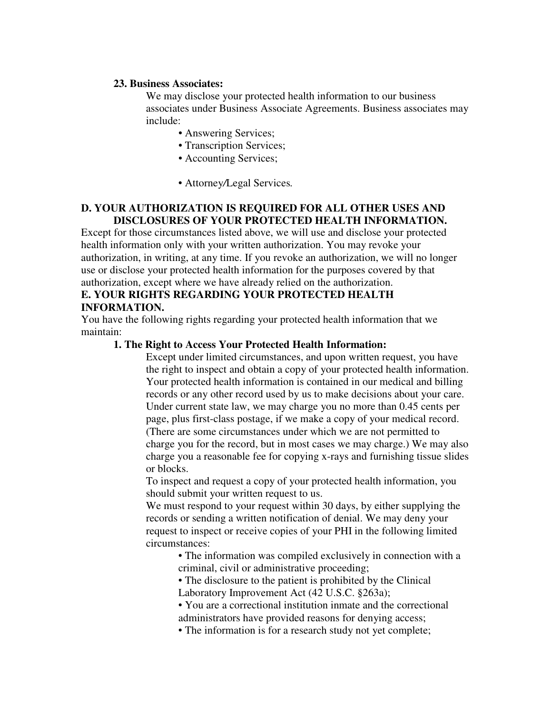### **23. Business Associates:**

We may disclose your protected health information to our business associates under Business Associate Agreements. Business associates may include:

- Answering Services;
- Transcription Services;
- Accounting Services;
- Attorney*/*Legal Services*.*

# **D. YOUR AUTHORIZATION IS REQUIRED FOR ALL OTHER USES AND DISCLOSURES OF YOUR PROTECTED HEALTH INFORMATION.**

Except for those circumstances listed above, we will use and disclose your protected health information only with your written authorization. You may revoke your authorization, in writing, at any time. If you revoke an authorization, we will no longer use or disclose your protected health information for the purposes covered by that authorization, except where we have already relied on the authorization.

# **E. YOUR RIGHTS REGARDING YOUR PROTECTED HEALTH INFORMATION.**

You have the following rights regarding your protected health information that we maintain:

# **1. The Right to Access Your Protected Health Information:**

Except under limited circumstances, and upon written request, you have the right to inspect and obtain a copy of your protected health information. Your protected health information is contained in our medical and billing records or any other record used by us to make decisions about your care. Under current state law, we may charge you no more than 0.45 cents per page, plus first-class postage, if we make a copy of your medical record. (There are some circumstances under which we are not permitted to charge you for the record, but in most cases we may charge.) We may also charge you a reasonable fee for copying x-rays and furnishing tissue slides or blocks.

To inspect and request a copy of your protected health information, you should submit your written request to us.

We must respond to your request within 30 days, by either supplying the records or sending a written notification of denial. We may deny your request to inspect or receive copies of your PHI in the following limited circumstances:

> • The information was compiled exclusively in connection with a criminal, civil or administrative proceeding;

• The disclosure to the patient is prohibited by the Clinical

Laboratory Improvement Act (42 U.S.C. §263a);

- You are a correctional institution inmate and the correctional administrators have provided reasons for denying access;
- The information is for a research study not yet complete;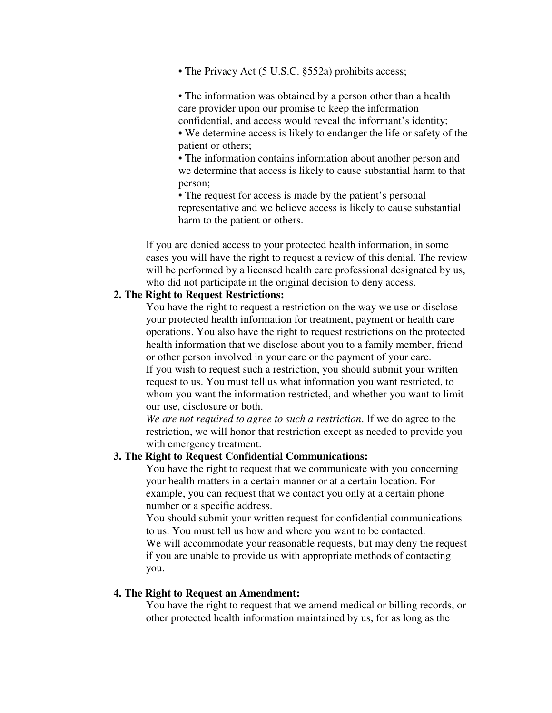• The Privacy Act (5 U.S.C. §552a) prohibits access;

• The information was obtained by a person other than a health care provider upon our promise to keep the information confidential, and access would reveal the informant's identity;

• We determine access is likely to endanger the life or safety of the patient or others;

• The information contains information about another person and we determine that access is likely to cause substantial harm to that person;

• The request for access is made by the patient's personal representative and we believe access is likely to cause substantial harm to the patient or others.

If you are denied access to your protected health information, in some cases you will have the right to request a review of this denial. The review will be performed by a licensed health care professional designated by us, who did not participate in the original decision to deny access.

# **2. The Right to Request Restrictions:**

You have the right to request a restriction on the way we use or disclose your protected health information for treatment, payment or health care operations. You also have the right to request restrictions on the protected health information that we disclose about you to a family member, friend or other person involved in your care or the payment of your care. If you wish to request such a restriction, you should submit your written request to us. You must tell us what information you want restricted, to whom you want the information restricted, and whether you want to limit our use, disclosure or both.

*We are not required to agree to such a restriction*. If we do agree to the restriction, we will honor that restriction except as needed to provide you with emergency treatment.

# **3. The Right to Request Confidential Communications:**

You have the right to request that we communicate with you concerning your health matters in a certain manner or at a certain location. For example, you can request that we contact you only at a certain phone number or a specific address.

You should submit your written request for confidential communications to us. You must tell us how and where you want to be contacted. We will accommodate your reasonable requests, but may deny the request if you are unable to provide us with appropriate methods of contacting you.

#### **4. The Right to Request an Amendment:**

You have the right to request that we amend medical or billing records, or other protected health information maintained by us, for as long as the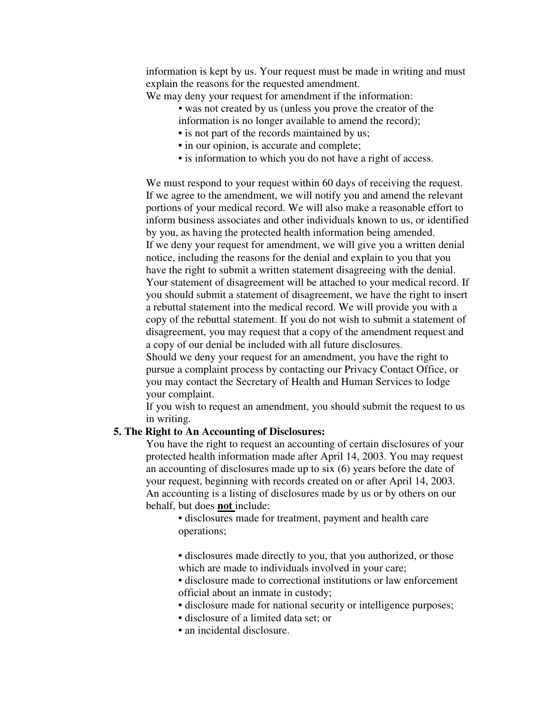information is kept by us. Your request must be made in writing and must explain the reasons for the requested amendment.

We may deny your request for amendment if the information:

- was not created by us (unless you prove the creator of the information is no longer available to amend the record);
- is not part of the records maintained by us;
- in our opinion, is accurate and complete;
- is information to which you do not have a right of access.

We must respond to your request within 60 days of receiving the request. If we agree to the amendment, we will notify you and amend the relevant portions of your medical record. We will also make a reasonable effort to inform business associates and other individuals known to us, or identified by you, as having the protected health information being amended. If we deny your request for amendment, we will give you a written denial notice, including the reasons for the denial and explain to you that you have the right to submit a written statement disagreeing with the denial. Your statement of disagreement will be attached to your medical record. If you should submit a statement of disagreement, we have the right to insert a rebuttal statement into the medical record. We will provide you with a copy of the rebuttal statement. If you do not wish to submit a statement of disagreement, you may request that a copy of the amendment request and a copy of our denial be included with all future disclosures.

Should we deny your request for an amendment, you have the right to pursue a complaint process by contacting our Privacy Contact Office, or you may contact the Secretary of Health and Human Services to lodge your complaint.

If you wish to request an amendment, you should submit the request to us in writing.

### **5. The Right to An Accounting of Disclosures:**

You have the right to request an accounting of certain disclosures of your protected health information made after April 14, 2003. You may request an accounting of disclosures made up to six (6) years before the date of your request, beginning with records created on or after April 14, 2003. An accounting is a listing of disclosures made by us or by others on our behalf, but does **not** include:

- disclosures made for treatment, payment and health care operations;
- disclosures made directly to you, that you authorized, or those which are made to individuals involved in your care;
- disclosure made to correctional institutions or law enforcement official about an inmate in custody;
- disclosure made for national security or intelligence purposes;
- disclosure of a limited data set; or
- an incidental disclosure.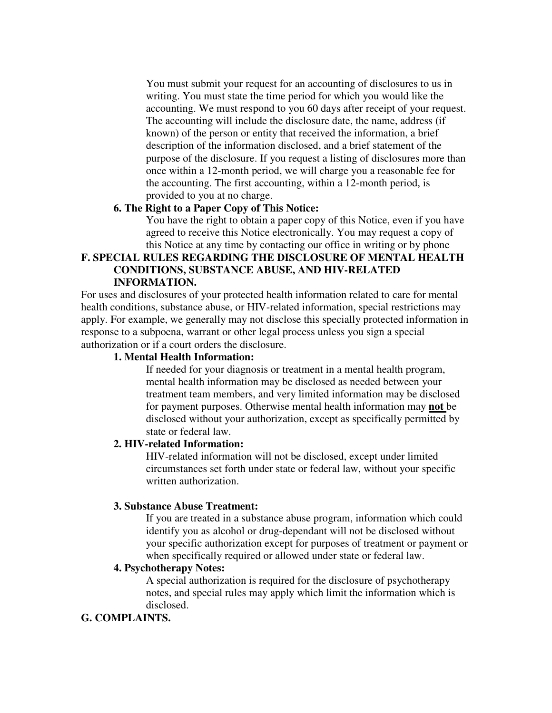You must submit your request for an accounting of disclosures to us in writing. You must state the time period for which you would like the accounting. We must respond to you 60 days after receipt of your request. The accounting will include the disclosure date, the name, address (if known) of the person or entity that received the information, a brief description of the information disclosed, and a brief statement of the purpose of the disclosure. If you request a listing of disclosures more than once within a 12-month period, we will charge you a reasonable fee for the accounting. The first accounting, within a 12-month period, is provided to you at no charge.

# **6. The Right to a Paper Copy of This Notice:**

You have the right to obtain a paper copy of this Notice, even if you have agreed to receive this Notice electronically. You may request a copy of this Notice at any time by contacting our office in writing or by phone

# **F. SPECIAL RULES REGARDING THE DISCLOSURE OF MENTAL HEALTH CONDITIONS, SUBSTANCE ABUSE, AND HIV-RELATED INFORMATION.**

For uses and disclosures of your protected health information related to care for mental health conditions, substance abuse, or HIV-related information, special restrictions may apply. For example, we generally may not disclose this specially protected information in response to a subpoena, warrant or other legal process unless you sign a special authorization or if a court orders the disclosure.

# **1. Mental Health Information:**

If needed for your diagnosis or treatment in a mental health program, mental health information may be disclosed as needed between your treatment team members, and very limited information may be disclosed for payment purposes. Otherwise mental health information may **not** be disclosed without your authorization, except as specifically permitted by state or federal law.

#### **2. HIV-related Information:**

HIV-related information will not be disclosed, except under limited circumstances set forth under state or federal law, without your specific written authorization.

### **3. Substance Abuse Treatment:**

If you are treated in a substance abuse program, information which could identify you as alcohol or drug-dependant will not be disclosed without your specific authorization except for purposes of treatment or payment or when specifically required or allowed under state or federal law.

# **4. Psychotherapy Notes:**

A special authorization is required for the disclosure of psychotherapy notes, and special rules may apply which limit the information which is disclosed.

### **G. COMPLAINTS.**